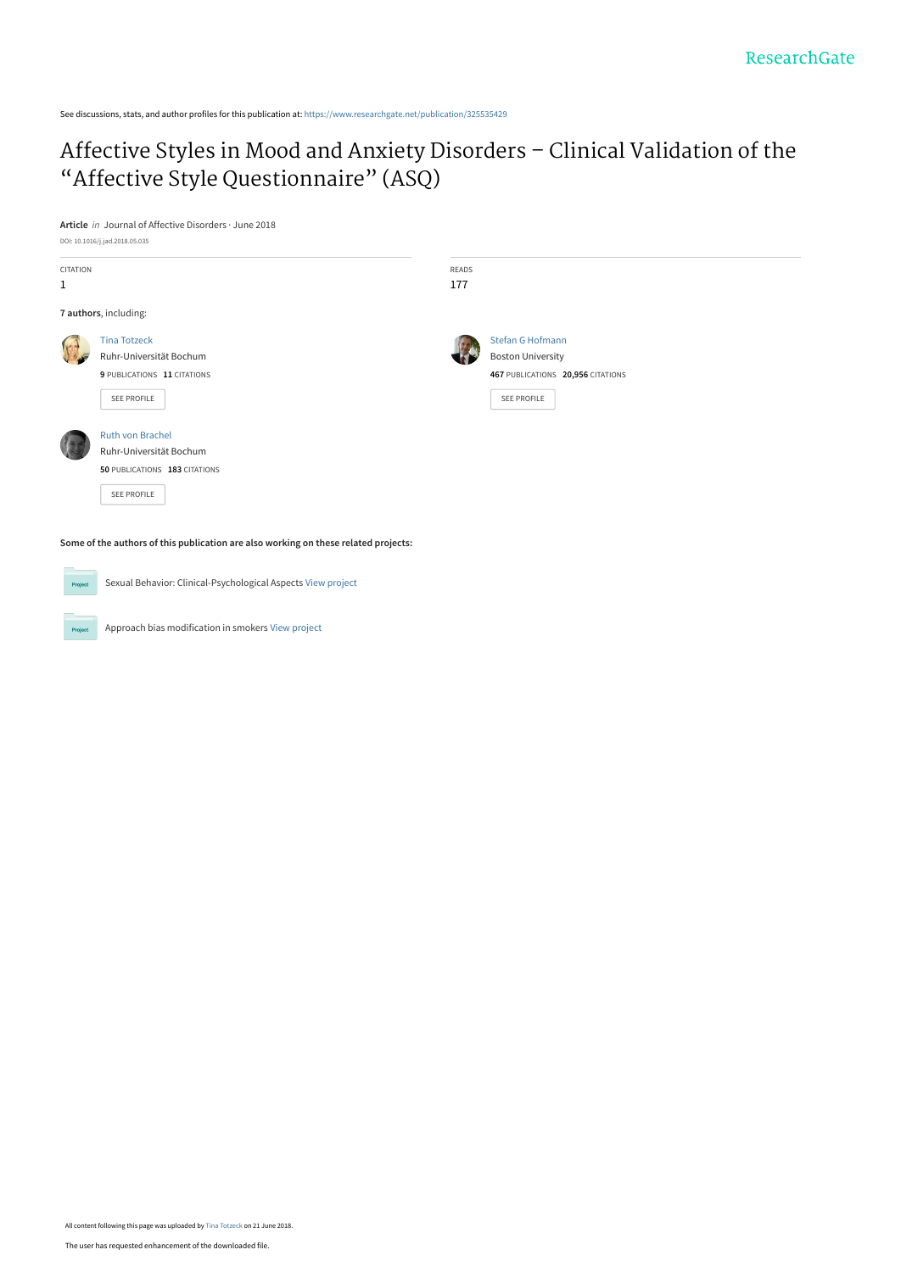See discussions, stats, and author profiles for this publication at: [https://www.researchgate.net/publication/325535429](https://www.researchgate.net/publication/325535429_Affective_Styles_in_Mood_and_Anxiety_Disorders_-_Clinical_Validation_of_the_Affective_Style_Questionnaire_ASQ?enrichId=rgreq-05fb60e03f305e6fa0b94b3d0f88b429-XXX&enrichSource=Y292ZXJQYWdlOzMyNTUzNTQyOTtBUzo2NDAwNjIwNDc5NDA2MDlAMTUyOTYxNDA5Mjg1MA%3D%3D&el=1_x_2&_esc=publicationCoverPdf)

# [Affective Styles in Mood and Anxiety Disorders – Clinical Validation of the](https://www.researchgate.net/publication/325535429_Affective_Styles_in_Mood_and_Anxiety_Disorders_-_Clinical_Validation_of_the_Affective_Style_Questionnaire_ASQ?enrichId=rgreq-05fb60e03f305e6fa0b94b3d0f88b429-XXX&enrichSource=Y292ZXJQYWdlOzMyNTUzNTQyOTtBUzo2NDAwNjIwNDc5NDA2MDlAMTUyOTYxNDA5Mjg1MA%3D%3D&el=1_x_3&_esc=publicationCoverPdf) "Affective Style Questionnaire" (ASQ)

**Article** in Journal of Affective Disorders · June 2018

| DOI: 10.1016/j.jad.2018.05.035 |  |  |  |
|--------------------------------|--|--|--|
|                                |  |  |  |

**Project** 

| CITATION<br>$\mathbf{1}$ |                                                                                     | <b>READS</b><br>177 |                                                                                   |
|--------------------------|-------------------------------------------------------------------------------------|---------------------|-----------------------------------------------------------------------------------|
|                          | 7 authors, including:                                                               |                     |                                                                                   |
|                          | <b>Tina Totzeck</b><br>Ruhr-Universität Bochum<br>9 PUBLICATIONS 11 CITATIONS       |                     | Stefan G Hofmann<br><b>Boston University</b><br>467 PUBLICATIONS 20,956 CITATIONS |
|                          | <b>SEE PROFILE</b>                                                                  |                     | SEE PROFILE                                                                       |
|                          | <b>Ruth von Brachel</b><br>Ruhr-Universität Bochum<br>50 PUBLICATIONS 183 CITATIONS |                     |                                                                                   |
|                          | <b>SEE PROFILE</b>                                                                  |                     |                                                                                   |
|                          | Some of the authors of this publication are also working on these related projects: |                     |                                                                                   |
| Project                  | Sexual Behavior: Clinical-Psychological Aspects View project                        |                     |                                                                                   |

Approach bias modification in smokers [View project](https://www.researchgate.net/project/Approach-bias-modification-in-smokers?enrichId=rgreq-05fb60e03f305e6fa0b94b3d0f88b429-XXX&enrichSource=Y292ZXJQYWdlOzMyNTUzNTQyOTtBUzo2NDAwNjIwNDc5NDA2MDlAMTUyOTYxNDA5Mjg1MA%3D%3D&el=1_x_9&_esc=publicationCoverPdf)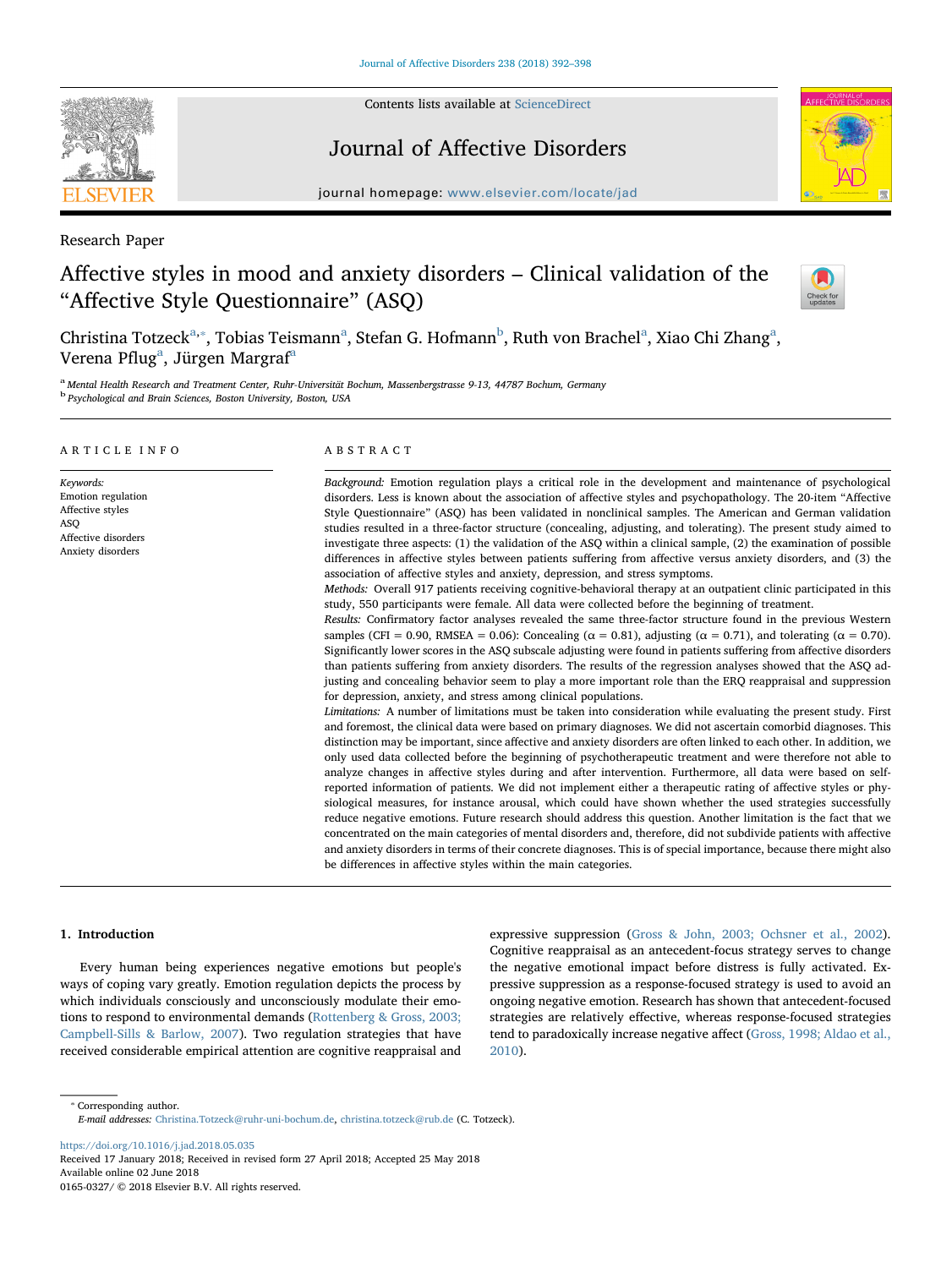

Contents lists available at [ScienceDirect](http://www.sciencedirect.com/science/journal/01650327)

## Journal of Affective Disorders



journal homepage: [www.elsevier.com/locate/jad](https://www.elsevier.com/locate/jad)

Research Paper

## Affective styles in mood and anxiety disorders – Clinical validation of the "Affective Style Questionnaire" (ASQ)



Christin[a](#page-1-0) Totzeckª, $^{\mathrm{a}},\mathrm{F}$ o[b](#page-1-2)ias Teismann $^{\mathrm{a}},\mathrm{Stefan\, G.}$  Hofmann $^{\mathrm{b}},\mathrm{Ruth\, von}$  Brachel $^{\mathrm{a}},\mathrm{X}$ iao Chi Zhang $^{\mathrm{a}},$ Veren[a](#page-1-0) Pflug<sup>a</sup>, Jürgen Margraf<sup>a</sup>

<span id="page-1-2"></span><span id="page-1-0"></span><sup>a</sup> Mental Health Research and Treatment Center, Ruhr-Universität Bochum, Massenbergstrasse 9-13, 44787 Bochum, Germany <sup>b</sup> Psychological and Brain Sciences, Boston University, Boston, USA

#### ARTICLE INFO

Keywords: Emotion regulation Affective styles ASQ Affective disorders Anxiety disorders

## ABSTRACT

Background: Emotion regulation plays a critical role in the development and maintenance of psychological disorders. Less is known about the association of affective styles and psychopathology. The 20-item "Affective Style Questionnaire" (ASQ) has been validated in nonclinical samples. The American and German validation studies resulted in a three-factor structure (concealing, adjusting, and tolerating). The present study aimed to investigate three aspects: (1) the validation of the ASQ within a clinical sample, (2) the examination of possible differences in affective styles between patients suffering from affective versus anxiety disorders, and (3) the association of affective styles and anxiety, depression, and stress symptoms.

Methods: Overall 917 patients receiving cognitive-behavioral therapy at an outpatient clinic participated in this study, 550 participants were female. All data were collected before the beginning of treatment.

Results: Confirmatory factor analyses revealed the same three-factor structure found in the previous Western samples (CFI = 0.90, RMSEA = 0.06): Concealing ( $α = 0.81$ ), adjusting ( $α = 0.71$ ), and tolerating ( $α = 0.70$ ). Significantly lower scores in the ASQ subscale adjusting were found in patients suffering from affective disorders than patients suffering from anxiety disorders. The results of the regression analyses showed that the ASQ adjusting and concealing behavior seem to play a more important role than the ERQ reappraisal and suppression for depression, anxiety, and stress among clinical populations.

Limitations: A number of limitations must be taken into consideration while evaluating the present study. First and foremost, the clinical data were based on primary diagnoses. We did not ascertain comorbid diagnoses. This distinction may be important, since affective and anxiety disorders are often linked to each other. In addition, we only used data collected before the beginning of psychotherapeutic treatment and were therefore not able to analyze changes in affective styles during and after intervention. Furthermore, all data were based on selfreported information of patients. We did not implement either a therapeutic rating of affective styles or physiological measures, for instance arousal, which could have shown whether the used strategies successfully reduce negative emotions. Future research should address this question. Another limitation is the fact that we concentrated on the main categories of mental disorders and, therefore, did not subdivide patients with affective and anxiety disorders in terms of their concrete diagnoses. This is of special importance, because there might also be differences in affective styles within the main categories.

## 1. Introduction

Every human being experiences negative emotions but people's ways of coping vary greatly. Emotion regulation depicts the process by which individuals consciously and unconsciously modulate their emotions to respond to environmental demands ([Rottenberg & Gross, 2003;](#page-7-0) [Campbell-Sills & Barlow, 2007\)](#page-7-0). Two regulation strategies that have received considerable empirical attention are cognitive reappraisal and

expressive suppression [\(Gross & John, 2003; Ochsner et al., 2002](#page-7-1)). Cognitive reappraisal as an antecedent-focus strategy serves to change the negative emotional impact before distress is fully activated. Expressive suppression as a response-focused strategy is used to avoid an ongoing negative emotion. Research has shown that antecedent-focused strategies are relatively effective, whereas response-focused strategies tend to paradoxically increase negative affect ([Gross, 1998; Aldao et al.,](#page-7-2) [2010\)](#page-7-2).

<https://doi.org/10.1016/j.jad.2018.05.035> Received 17 January 2018; Received in revised form 27 April 2018; Accepted 25 May 2018 Available online 02 June 2018 0165-0327/ © 2018 Elsevier B.V. All rights reserved.

<span id="page-1-1"></span><sup>⁎</sup> Corresponding author. E-mail addresses: [Christina.Totzeck@ruhr-uni-bochum.de](mailto:Christina.Totzeck@ruhr-uni-bochum.de), [christina.totzeck@rub.de](mailto:christina.totzeck@rub.de) (C. Totzeck).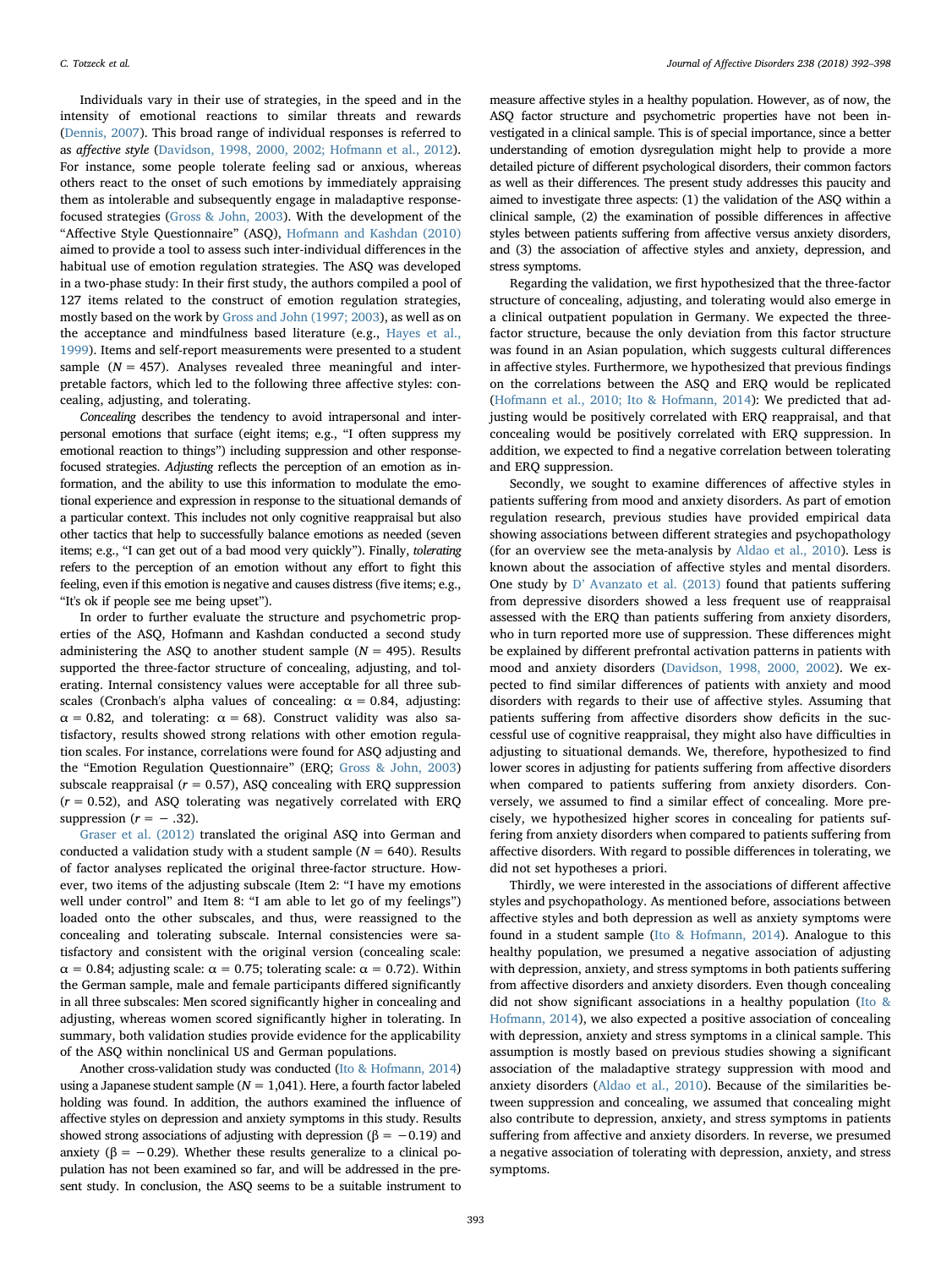Individuals vary in their use of strategies, in the speed and in the intensity of emotional reactions to similar threats and rewards ([Dennis, 2007](#page-7-3)). This broad range of individual responses is referred to as affective style [\(Davidson, 1998, 2000, 2002; Hofmann et al., 2012](#page-7-4)). For instance, some people tolerate feeling sad or anxious, whereas others react to the onset of such emotions by immediately appraising them as intolerable and subsequently engage in maladaptive responsefocused strategies [\(Gross & John, 2003](#page-7-1)). With the development of the "Affective Style Questionnaire" (ASQ), [Hofmann and Kashdan \(2010\)](#page-7-5) aimed to provide a tool to assess such inter-individual differences in the habitual use of emotion regulation strategies. The ASQ was developed in a two-phase study: In their first study, the authors compiled a pool of 127 items related to the construct of emotion regulation strategies, mostly based on the work by [Gross and John \(1997; 2003\)](#page-7-6), as well as on the acceptance and mindfulness based literature (e.g., [Hayes et al.,](#page-7-7) [1999\)](#page-7-7). Items and self-report measurements were presented to a student sample ( $N = 457$ ). Analyses revealed three meaningful and interpretable factors, which led to the following three affective styles: concealing, adjusting, and tolerating.

Concealing describes the tendency to avoid intrapersonal and interpersonal emotions that surface (eight items; e.g., "I often suppress my emotional reaction to things") including suppression and other responsefocused strategies. Adjusting reflects the perception of an emotion as information, and the ability to use this information to modulate the emotional experience and expression in response to the situational demands of a particular context. This includes not only cognitive reappraisal but also other tactics that help to successfully balance emotions as needed (seven items; e.g., "I can get out of a bad mood very quickly"). Finally, tolerating refers to the perception of an emotion without any effort to fight this feeling, even if this emotion is negative and causes distress (five items; e.g., "It's ok if people see me being upset").

In order to further evaluate the structure and psychometric properties of the ASQ, Hofmann and Kashdan conducted a second study administering the ASO to another student sample  $(N = 495)$ . Results supported the three-factor structure of concealing, adjusting, and tolerating. Internal consistency values were acceptable for all three subscales (Cronbach's alpha values of concealing:  $\alpha = 0.84$ , adjusting:  $\alpha = 0.82$ , and tolerating:  $\alpha = 68$ ). Construct validity was also satisfactory, results showed strong relations with other emotion regulation scales. For instance, correlations were found for ASQ adjusting and the "Emotion Regulation Questionnaire" (ERQ; Gross [& John, 2003\)](#page-7-1) subscale reappraisal  $(r = 0.57)$ , ASO concealing with ERO suppression  $(r = 0.52)$ , and ASQ tolerating was negatively correlated with ERQ suppression  $(r = -0.32)$ .

[Graser et al. \(2012\)](#page-7-8) translated the original ASQ into German and conducted a validation study with a student sample ( $N = 640$ ). Results of factor analyses replicated the original three-factor structure. However, two items of the adjusting subscale (Item 2: "I have my emotions well under control" and Item 8: "I am able to let go of my feelings") loaded onto the other subscales, and thus, were reassigned to the concealing and tolerating subscale. Internal consistencies were satisfactory and consistent with the original version (concealing scale: α = 0.84; adjusting scale: α = 0.75; tolerating scale: α = 0.72). Within the German sample, male and female participants differed significantly in all three subscales: Men scored significantly higher in concealing and adjusting, whereas women scored significantly higher in tolerating. In summary, both validation studies provide evidence for the applicability of the ASQ within nonclinical US and German populations.

Another cross-validation study was conducted [\(Ito & Hofmann, 2014\)](#page-7-9) using a Japanese student sample ( $N = 1,041$ ). Here, a fourth factor labeled holding was found. In addition, the authors examined the influence of affective styles on depression and anxiety symptoms in this study. Results showed strong associations of adjusting with depression ( $\beta = -0.19$ ) and anxiety (β =  $-0.29$ ). Whether these results generalize to a clinical population has not been examined so far, and will be addressed in the present study. In conclusion, the ASQ seems to be a suitable instrument to

measure affective styles in a healthy population. However, as of now, the ASQ factor structure and psychometric properties have not been investigated in a clinical sample. This is of special importance, since a better understanding of emotion dysregulation might help to provide a more detailed picture of different psychological disorders, their common factors as well as their differences. The present study addresses this paucity and aimed to investigate three aspects: (1) the validation of the ASQ within a clinical sample, (2) the examination of possible differences in affective styles between patients suffering from affective versus anxiety disorders, and (3) the association of affective styles and anxiety, depression, and stress symptoms.

Regarding the validation, we first hypothesized that the three-factor structure of concealing, adjusting, and tolerating would also emerge in a clinical outpatient population in Germany. We expected the threefactor structure, because the only deviation from this factor structure was found in an Asian population, which suggests cultural differences in affective styles. Furthermore, we hypothesized that previous findings on the correlations between the ASQ and ERQ would be replicated ([Hofmann et al., 2010; Ito & Hofmann, 2014](#page-7-5)): We predicted that adjusting would be positively correlated with ERQ reappraisal, and that concealing would be positively correlated with ERQ suppression. In addition, we expected to find a negative correlation between tolerating and ERQ suppression.

Secondly, we sought to examine differences of affective styles in patients suffering from mood and anxiety disorders. As part of emotion regulation research, previous studies have provided empirical data showing associations between different strategies and psychopathology (for an overview see the meta-analysis by [Aldao et al., 2010](#page-7-10)). Less is known about the association of affective styles and mental disorders. One study by D' [Avanzato et al. \(2013\)](#page-7-11) found that patients suffering from depressive disorders showed a less frequent use of reappraisal assessed with the ERQ than patients suffering from anxiety disorders, who in turn reported more use of suppression. These differences might be explained by different prefrontal activation patterns in patients with mood and anxiety disorders ([Davidson, 1998, 2000, 2002](#page-7-4)). We expected to find similar differences of patients with anxiety and mood disorders with regards to their use of affective styles. Assuming that patients suffering from affective disorders show deficits in the successful use of cognitive reappraisal, they might also have difficulties in adjusting to situational demands. We, therefore, hypothesized to find lower scores in adjusting for patients suffering from affective disorders when compared to patients suffering from anxiety disorders. Conversely, we assumed to find a similar effect of concealing. More precisely, we hypothesized higher scores in concealing for patients suffering from anxiety disorders when compared to patients suffering from affective disorders. With regard to possible differences in tolerating, we did not set hypotheses a priori.

Thirdly, we were interested in the associations of different affective styles and psychopathology. As mentioned before, associations between affective styles and both depression as well as anxiety symptoms were found in a student sample ([Ito & Hofmann, 2014\)](#page-7-9). Analogue to this healthy population, we presumed a negative association of adjusting with depression, anxiety, and stress symptoms in both patients suffering from affective disorders and anxiety disorders. Even though concealing did not show significant associations in a healthy population ([Ito &](#page-7-9) [Hofmann, 2014\)](#page-7-9), we also expected a positive association of concealing with depression, anxiety and stress symptoms in a clinical sample. This assumption is mostly based on previous studies showing a significant association of the maladaptive strategy suppression with mood and anxiety disorders [\(Aldao et al., 2010](#page-7-10)). Because of the similarities between suppression and concealing, we assumed that concealing might also contribute to depression, anxiety, and stress symptoms in patients suffering from affective and anxiety disorders. In reverse, we presumed a negative association of tolerating with depression, anxiety, and stress symptoms.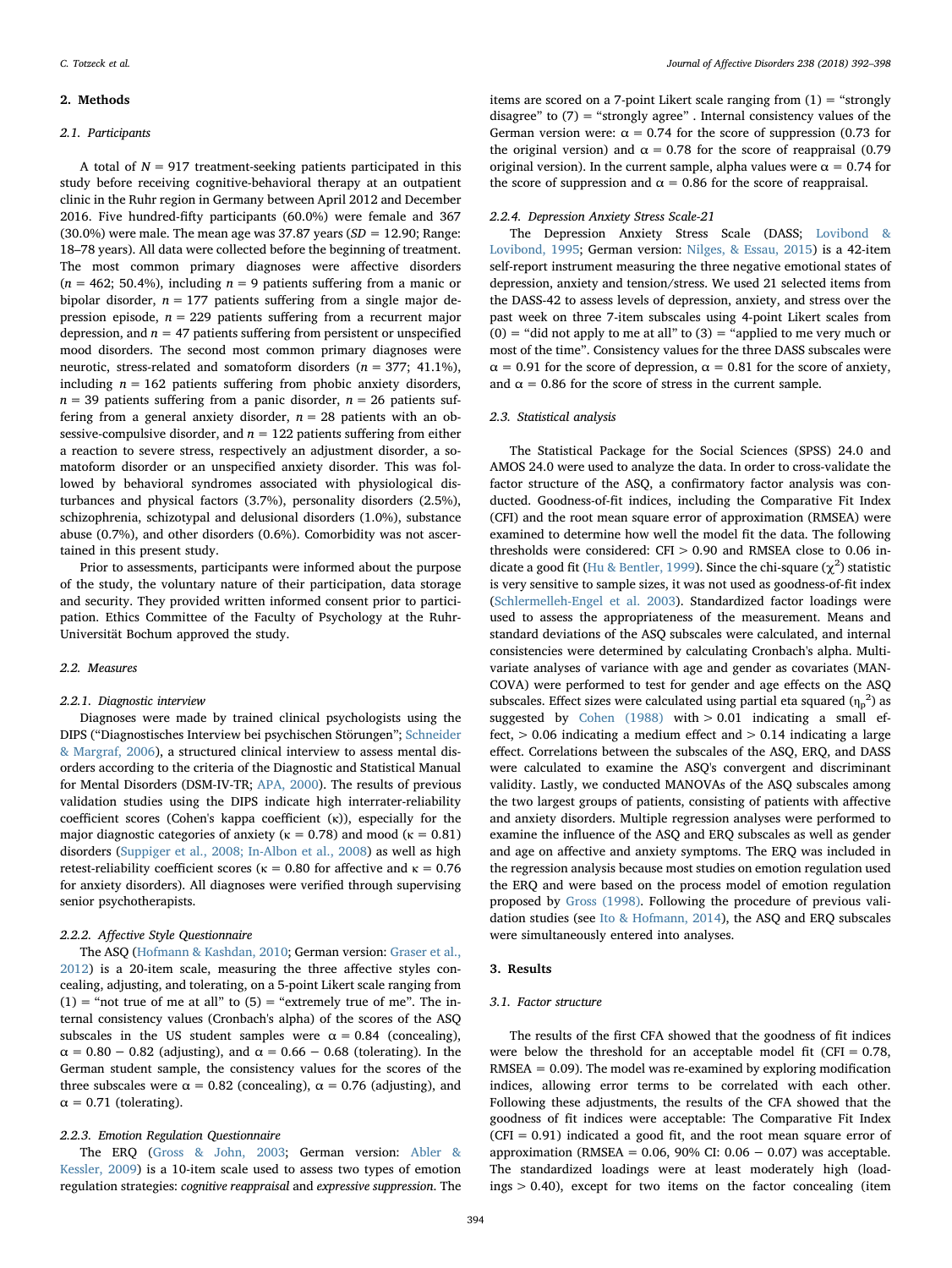#### 2. Methods

#### 2.1. Participants

A total of  $N = 917$  treatment-seeking patients participated in this study before receiving cognitive-behavioral therapy at an outpatient clinic in the Ruhr region in Germany between April 2012 and December 2016. Five hundred-fifty participants (60.0%) were female and 367 (30.0%) were male. The mean age was 37.87 years ( $SD = 12.90$ ; Range: 18–78 years). All data were collected before the beginning of treatment. The most common primary diagnoses were affective disorders  $(n = 462; 50.4\%)$ , including  $n = 9$  patients suffering from a manic or bipolar disorder,  $n = 177$  patients suffering from a single major depression episode,  $n = 229$  patients suffering from a recurrent major depression, and  $n = 47$  patients suffering from persistent or unspecified mood disorders. The second most common primary diagnoses were neurotic, stress-related and somatoform disorders ( $n = 377$ ; 41.1%), including  $n = 162$  patients suffering from phobic anxiety disorders,  $n = 39$  patients suffering from a panic disorder,  $n = 26$  patients suffering from a general anxiety disorder,  $n = 28$  patients with an obsessive-compulsive disorder, and  $n = 122$  patients suffering from either a reaction to severe stress, respectively an adjustment disorder, a somatoform disorder or an unspecified anxiety disorder. This was followed by behavioral syndromes associated with physiological disturbances and physical factors (3.7%), personality disorders (2.5%), schizophrenia, schizotypal and delusional disorders (1.0%), substance abuse (0.7%), and other disorders (0.6%). Comorbidity was not ascertained in this present study.

Prior to assessments, participants were informed about the purpose of the study, the voluntary nature of their participation, data storage and security. They provided written informed consent prior to participation. Ethics Committee of the Faculty of Psychology at the Ruhr-Universität Bochum approved the study.

## 2.2. Measures

#### 2.2.1. Diagnostic interview

Diagnoses were made by trained clinical psychologists using the DIPS ("Diagnostisches Interview bei psychischen Störungen"; [Schneider](#page-7-12) [& Margraf, 2006](#page-7-12)), a structured clinical interview to assess mental disorders according to the criteria of the Diagnostic and Statistical Manual for Mental Disorders (DSM-IV-TR; [APA, 2000](#page-7-13)). The results of previous validation studies using the DIPS indicate high interrater-reliability coefficient scores (Cohen's kappa coefficient (κ)), especially for the major diagnostic categories of anxiety ( $\kappa = 0.78$ ) and mood ( $\kappa = 0.81$ ) disorders ([Suppiger et al., 2008; In-Albon et al., 2008\)](#page-7-14) as well as high retest-reliability coefficient scores ( $κ = 0.80$  for affective and  $κ = 0.76$ for anxiety disorders). All diagnoses were verified through supervising senior psychotherapists.

## 2.2.2. Affective Style Questionnaire

The ASQ ([Hofmann & Kashdan, 2010](#page-7-5); German version: [Graser et al.,](#page-7-8) [2012\)](#page-7-8) is a 20-item scale, measuring the three affective styles concealing, adjusting, and tolerating, on a 5-point Likert scale ranging from  $(1)$  = "not true of me at all" to  $(5)$  = "extremely true of me". The internal consistency values (Cronbach's alpha) of the scores of the ASQ subscales in the US student samples were  $\alpha = 0.84$  (concealing),  $\alpha = 0.80 - 0.82$  (adjusting), and  $\alpha = 0.66 - 0.68$  (tolerating). In the German student sample, the consistency values for the scores of the three subscales were  $\alpha = 0.82$  (concealing),  $\alpha = 0.76$  (adjusting), and  $\alpha$  = 0.71 (tolerating).

#### 2.2.3. Emotion Regulation Questionnaire

The ERQ ([Gross & John, 2003;](#page-7-1) German version: [Abler &](#page-7-15) [Kessler, 2009\)](#page-7-15) is a 10-item scale used to assess two types of emotion regulation strategies: cognitive reappraisal and expressive suppression. The items are scored on a 7-point Likert scale ranging from  $(1)$  = "strongly disagree" to  $(7)$  = "strongly agree". Internal consistency values of the German version were:  $\alpha = 0.74$  for the score of suppression (0.73 for the original version) and  $\alpha$  = 0.78 for the score of reappraisal (0.79 original version). In the current sample, alpha values were  $\alpha = 0.74$  for the score of suppression and  $\alpha = 0.86$  for the score of reappraisal.

## 2.2.4. Depression Anxiety Stress Scale-21

The Depression Anxiety Stress Scale (DASS; [Lovibond &](#page-7-16) [Lovibond, 1995;](#page-7-16) German version: Nilges, [& Essau, 2015\)](#page-7-17) is a 42-item self-report instrument measuring the three negative emotional states of depression, anxiety and tension/stress. We used 21 selected items from the DASS-42 to assess levels of depression, anxiety, and stress over the past week on three 7-item subscales using 4-point Likert scales from  $(0)$  = "did not apply to me at all" to  $(3)$  = "applied to me very much or most of the time". Consistency values for the three DASS subscales were  $\alpha = 0.91$  for the score of depression,  $\alpha = 0.81$  for the score of anxiety, and  $\alpha$  = 0.86 for the score of stress in the current sample.

#### 2.3. Statistical analysis

The Statistical Package for the Social Sciences (SPSS) 24.0 and AMOS 24.0 were used to analyze the data. In order to cross-validate the factor structure of the ASQ, a confirmatory factor analysis was conducted. Goodness-of-fit indices, including the Comparative Fit Index (CFI) and the root mean square error of approximation (RMSEA) were examined to determine how well the model fit the data. The following thresholds were considered: CFI > 0.90 and RMSEA close to 0.06 in-dicate a good fit ([Hu & Bentler, 1999\)](#page-7-18). Since the chi-square ( $\chi^2$ ) statistic is very sensitive to sample sizes, it was not used as goodness-of-fit index ([Schlermelleh-Engel et al. 2003\)](#page-7-19). Standardized factor loadings were used to assess the appropriateness of the measurement. Means and standard deviations of the ASQ subscales were calculated, and internal consistencies were determined by calculating Cronbach's alpha. Multivariate analyses of variance with age and gender as covariates (MAN-COVA) were performed to test for gender and age effects on the ASQ subscales. Effect sizes were calculated using partial eta squared  $(\eta_p^2)$  as suggested by Cohen  $(1988)$  with  $> 0.01$  indicating a small effect,  $> 0.06$  indicating a medium effect and  $> 0.14$  indicating a large effect. Correlations between the subscales of the ASQ, ERQ, and DASS were calculated to examine the ASQ's convergent and discriminant validity. Lastly, we conducted MANOVAs of the ASQ subscales among the two largest groups of patients, consisting of patients with affective and anxiety disorders. Multiple regression analyses were performed to examine the influence of the ASQ and ERQ subscales as well as gender and age on affective and anxiety symptoms. The ERQ was included in the regression analysis because most studies on emotion regulation used the ERQ and were based on the process model of emotion regulation proposed by [Gross \(1998\).](#page-7-2) Following the procedure of previous validation studies (see [Ito & Hofmann, 2014](#page-7-9)), the ASQ and ERQ subscales were simultaneously entered into analyses.

## 3. Results

### 3.1. Factor structure

The results of the first CFA showed that the goodness of fit indices were below the threshold for an acceptable model fit (CFI =  $0.78$ , RMSEA  $= 0.09$ ). The model was re-examined by exploring modification indices, allowing error terms to be correlated with each other. Following these adjustments, the results of the CFA showed that the goodness of fit indices were acceptable: The Comparative Fit Index  $(CFI = 0.91)$  indicated a good fit, and the root mean square error of approximation (RMSEA =  $0.06$ , 90% CI:  $0.06 - 0.07$ ) was acceptable. The standardized loadings were at least moderately high (loadings > 0.40), except for two items on the factor concealing (item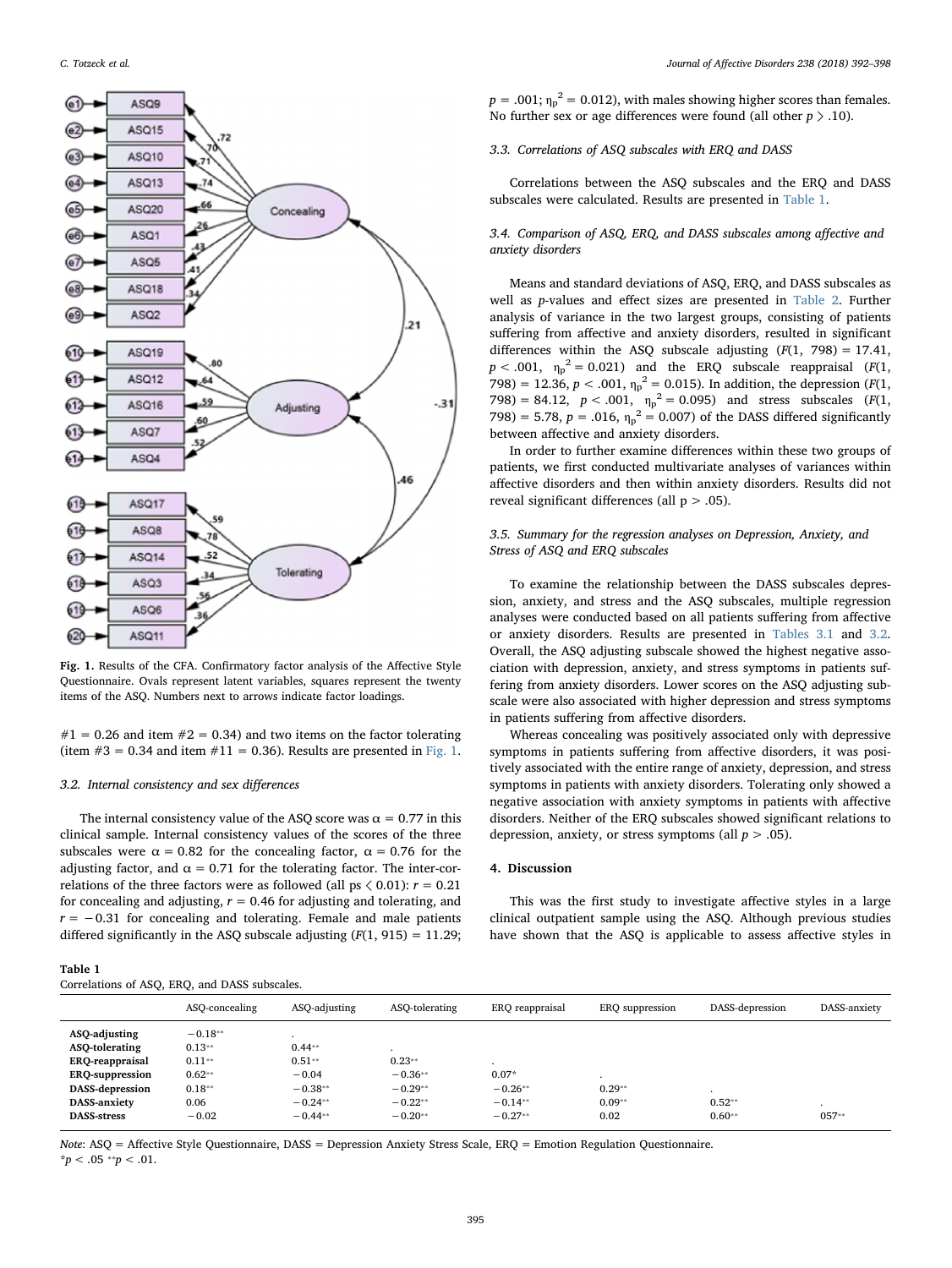<span id="page-4-0"></span>

Fig. 1. Results of the CFA. Confirmatory factor analysis of the Affective Style Questionnaire. Ovals represent latent variables, squares represent the twenty items of the ASQ. Numbers next to arrows indicate factor loadings.

 $#1 = 0.26$  and item  $#2 = 0.34$ ) and two items on the factor tolerating (item  $\#3 = 0.34$  and item  $\#11 = 0.36$ ). Results are presented in [Fig. 1](#page-4-0).

#### 3.2. Internal consistency and sex differences

The internal consistency value of the ASQ score was  $\alpha = 0.77$  in this clinical sample. Internal consistency values of the scores of the three subscales were  $\alpha = 0.82$  for the concealing factor,  $\alpha = 0.76$  for the adjusting factor, and  $\alpha = 0.71$  for the tolerating factor. The inter-correlations of the three factors were as followed (all ps  $\langle 0.01$ ):  $r = 0.21$ for concealing and adjusting,  $r = 0.46$  for adjusting and tolerating, and  $r = -0.31$  for concealing and tolerating. Female and male patients differed significantly in the ASQ subscale adjusting  $(F(1, 915) = 11.29;$ 

<span id="page-4-1"></span>

| Table 1                                       |  |
|-----------------------------------------------|--|
| Correlations of ASO, ERO, and DASS subscales. |  |

 $p = .001$ ;  $\eta_p^2 = 0.012$ ), with males showing higher scores than females. No further sex or age differences were found (all other  $p > .10$ ).

## 3.3. Correlations of ASQ subscales with ERQ and DASS

Correlations between the ASQ subscales and the ERQ and DASS subscales were calculated. Results are presented in [Table 1.](#page-4-1)

## 3.4. Comparison of ASQ, ERQ, and DASS subscales among affective and anxiety disorders

Means and standard deviations of ASQ, ERQ, and DASS subscales as well as p-values and effect sizes are presented in [Table 2.](#page-5-0) Further analysis of variance in the two largest groups, consisting of patients suffering from affective and anxiety disorders, resulted in significant differences within the ASQ subscale adjusting  $(F(1, 798) = 17.41$ ,  $p < .001$ ,  $\eta_p^2 = 0.021$ ) and the ERQ subscale reappraisal ( $F(1, 0)$ 798) = 12.36,  $p < .001$ ,  $\eta_p^2 = 0.015$ ). In addition, the depression ( $F(1)$ , 798) = 84.12,  $p < .001$ ,  $\eta_p^2 = 0.095$ ) and stress subscales (*F*(1, 798) = 5.78,  $p = .016$ ,  $\eta_p^2 = 0.007$ ) of the DASS differed significantly between affective and anxiety disorders.

In order to further examine differences within these two groups of patients, we first conducted multivariate analyses of variances within affective disorders and then within anxiety disorders. Results did not reveal significant differences (all  $p > .05$ ).

## 3.5. Summary for the regression analyses on Depression, Anxiety, and Stress of ASQ and ERQ subscales

To examine the relationship between the DASS subscales depression, anxiety, and stress and the ASQ subscales, multiple regression analyses were conducted based on all patients suffering from affective or anxiety disorders. Results are presented in [Tables 3.1](#page-5-1) and [3.2](#page-5-2). Overall, the ASQ adjusting subscale showed the highest negative association with depression, anxiety, and stress symptoms in patients suffering from anxiety disorders. Lower scores on the ASQ adjusting subscale were also associated with higher depression and stress symptoms in patients suffering from affective disorders.

Whereas concealing was positively associated only with depressive symptoms in patients suffering from affective disorders, it was positively associated with the entire range of anxiety, depression, and stress symptoms in patients with anxiety disorders. Tolerating only showed a negative association with anxiety symptoms in patients with affective disorders. Neither of the ERQ subscales showed significant relations to depression, anxiety, or stress symptoms (all  $p > .05$ ).

#### 4. Discussion

This was the first study to investigate affective styles in a large clinical outpatient sample using the ASQ. Although previous studies have shown that the ASQ is applicable to assess affective styles in

|                                                                                            | ASO-concealing                                | ASO-adjusting                       | ASO-tolerating                      | ERQ reappraisal                     | ERO suppression              | DASS-depression      | DASS-anxiety |
|--------------------------------------------------------------------------------------------|-----------------------------------------------|-------------------------------------|-------------------------------------|-------------------------------------|------------------------------|----------------------|--------------|
| ASQ-adjusting<br><b>ASO-tolerating</b><br><b>ERQ-reappraisal</b><br><b>ERQ-suppression</b> | $-0.18**$<br>$0.13**$<br>$0.11**$<br>$0.62**$ | $0.44**$<br>$0.51**$<br>$-0.04$     | $0.23**$<br>$-0.36**$               | $0.07*$                             |                              |                      |              |
| DASS-depression<br><b>DASS-anxiety</b><br><b>DASS-stress</b>                               | $0.18**$<br>0.06<br>$-0.02$                   | $-0.38**$<br>$-0.24**$<br>$-0.44**$ | $-0.29**$<br>$-0.22**$<br>$-0.20**$ | $-0.26**$<br>$-0.14**$<br>$-0.27**$ | $0.29**$<br>$0.09**$<br>0.02 | $0.52**$<br>$0.60**$ | $057**$      |

Note: ASQ = Affective Style Questionnaire, DASS = Depression Anxiety Stress Scale, ERQ = Emotion Regulation Questionnaire.  $^{\star}p < .05$   $^{**}p < .01.$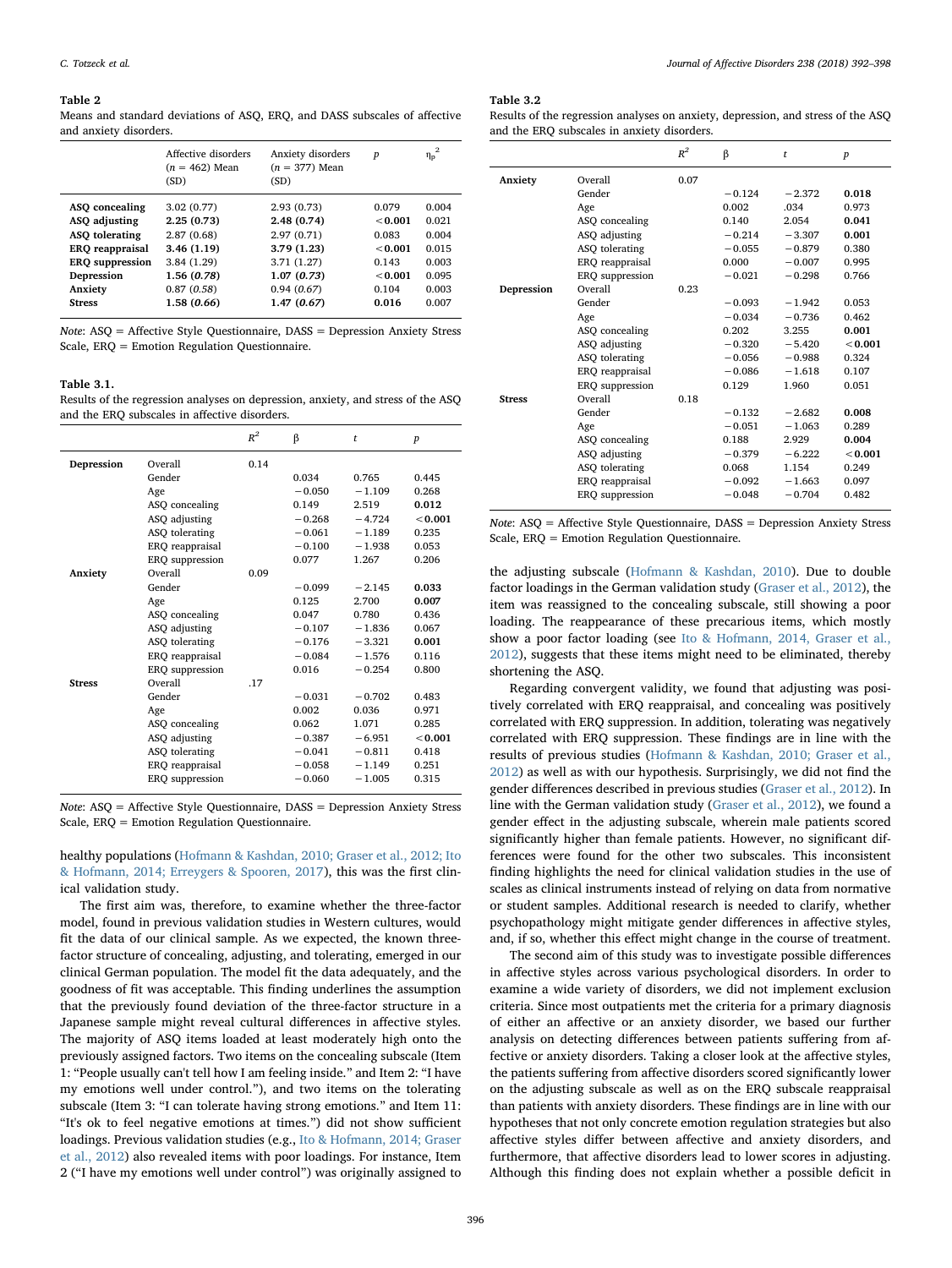#### <span id="page-5-0"></span>Table 2

Means and standard deviations of ASQ, ERQ, and DASS subscales of affective and anxiety disorders.

|                        | Affective disorders<br>$(n = 462)$ Mean<br>(SD) | Anxiety disorders<br>$(n = 377)$ Mean<br>(SD) | p       | ${\eta_p}^2$ |
|------------------------|-------------------------------------------------|-----------------------------------------------|---------|--------------|
| ASO concealing         | 3.02(0.77)                                      | 2.93 (0.73)                                   | 0.079   | 0.004        |
| ASO adjusting          | 2.25(0.73)                                      | 2.48 (0.74)                                   | < 0.001 | 0.021        |
| <b>ASO</b> tolerating  | 2.87(0.68)                                      | 2.97(0.71)                                    | 0.083   | 0.004        |
| <b>ERO</b> reappraisal | 3.46(1.19)                                      | 3.79 (1.23)                                   | < 0.001 | 0.015        |
| <b>ERO</b> suppression | 3.84(1.29)                                      | 3.71(1.27)                                    | 0.143   | 0.003        |
| Depression             | 1.56 (0.78)                                     | 1.07(0.73)                                    | < 0.001 | 0.095        |
| Anxiety                | 0.87(0.58)                                      | 0.94(0.67)                                    | 0.104   | 0.003        |
| <b>Stress</b>          | 1.58 (0.66)                                     | 1.47(0.67)                                    | 0.016   | 0.007        |

Note: ASQ = Affective Style Questionnaire, DASS = Depression Anxiety Stress Scale, ERQ = Emotion Regulation Questionnaire.

### <span id="page-5-1"></span>Table 3.1.

Results of the regression analyses on depression, anxiety, and stress of the ASQ and the ERQ subscales in affective disorders.

|               |                 | $R^2$ | β        | t        | $\boldsymbol{p}$ |
|---------------|-----------------|-------|----------|----------|------------------|
| Depression    | Overall         | 0.14  |          |          |                  |
|               | Gender          |       | 0.034    | 0.765    | 0.445            |
|               | Age             |       | $-0.050$ | $-1.109$ | 0.268            |
|               | ASO concealing  |       | 0.149    | 2.519    | 0.012            |
|               | ASQ adjusting   |       | $-0.268$ | $-4.724$ | < 0.001          |
|               | ASQ tolerating  |       | $-0.061$ | $-1.189$ | 0.235            |
|               | ERQ reappraisal |       | $-0.100$ | $-1.938$ | 0.053            |
|               | ERQ suppression |       | 0.077    | 1.267    | 0.206            |
| Anxiety       | Overall         | 0.09  |          |          |                  |
|               | Gender          |       | $-0.099$ | $-2.145$ | 0.033            |
|               | Age             |       | 0.125    | 2.700    | 0.007            |
|               | ASQ concealing  |       | 0.047    | 0.780    | 0.436            |
|               | ASQ adjusting   |       | $-0.107$ | $-1.836$ | 0.067            |
|               | ASQ tolerating  |       | $-0.176$ | $-3.321$ | 0.001            |
|               | ERQ reappraisal |       | $-0.084$ | $-1.576$ | 0.116            |
|               | ERQ suppression |       | 0.016    | $-0.254$ | 0.800            |
| <b>Stress</b> | Overall         | .17   |          |          |                  |
|               | Gender          |       | $-0.031$ | $-0.702$ | 0.483            |
|               | Age             |       | 0.002    | 0.036    | 0.971            |
|               | ASQ concealing  |       | 0.062    | 1.071    | 0.285            |
|               | ASQ adjusting   |       | $-0.387$ | $-6.951$ | < 0.001          |
|               | ASQ tolerating  |       | $-0.041$ | $-0.811$ | 0.418            |
|               | ERQ reappraisal |       | $-0.058$ | $-1.149$ | 0.251            |
|               | ERQ suppression |       | $-0.060$ | $-1.005$ | 0.315            |

Note: ASQ = Affective Style Questionnaire, DASS = Depression Anxiety Stress Scale, ERQ = Emotion Regulation Questionnaire.

healthy populations [\(Hofmann & Kashdan, 2010; Graser et al., 2012; Ito](#page-7-5) [& Hofmann, 2014; Erreygers & Spooren, 2017\)](#page-7-5), this was the first clinical validation study.

The first aim was, therefore, to examine whether the three-factor model, found in previous validation studies in Western cultures, would fit the data of our clinical sample. As we expected, the known threefactor structure of concealing, adjusting, and tolerating, emerged in our clinical German population. The model fit the data adequately, and the goodness of fit was acceptable. This finding underlines the assumption that the previously found deviation of the three-factor structure in a Japanese sample might reveal cultural differences in affective styles. The majority of ASQ items loaded at least moderately high onto the previously assigned factors. Two items on the concealing subscale (Item 1: "People usually can't tell how I am feeling inside." and Item 2: "I have my emotions well under control."), and two items on the tolerating subscale (Item 3: "I can tolerate having strong emotions." and Item 11: "It's ok to feel negative emotions at times.") did not show sufficient loadings. Previous validation studies (e.g., [Ito & Hofmann, 2014; Graser](#page-7-9) [et al., 2012\)](#page-7-9) also revealed items with poor loadings. For instance, Item 2 ("I have my emotions well under control") was originally assigned to

#### <span id="page-5-2"></span>Table 3.2

Results of the regression analyses on anxiety, depression, and stress of the ASQ and the ERQ subscales in anxiety disorders.

|               |                 | $R^2$ | β        | t        | $\boldsymbol{p}$ |
|---------------|-----------------|-------|----------|----------|------------------|
| Anxiety       | Overall         | 0.07  |          |          |                  |
|               | Gender          |       | $-0.124$ | $-2.372$ | 0.018            |
|               | Age             |       | 0.002    | .034     | 0.973            |
|               | ASQ concealing  |       | 0.140    | 2.054    | 0.041            |
|               | ASQ adjusting   |       | $-0.214$ | $-3.307$ | 0.001            |
|               | ASO tolerating  |       | $-0.055$ | $-0.879$ | 0.380            |
|               | ERQ reappraisal |       | 0.000    | $-0.007$ | 0.995            |
|               | ERQ suppression |       | $-0.021$ | $-0.298$ | 0.766            |
| Depression    | Overall         | 0.23  |          |          |                  |
|               | Gender          |       | $-0.093$ | $-1.942$ | 0.053            |
|               | Age             |       | $-0.034$ | $-0.736$ | 0.462            |
|               | ASO concealing  |       | 0.202    | 3.255    | 0.001            |
|               | ASQ adjusting   |       | $-0.320$ | $-5.420$ | < 0.001          |
|               | ASQ tolerating  |       | $-0.056$ | $-0.988$ | 0.324            |
|               | ERQ reappraisal |       | $-0.086$ | $-1.618$ | 0.107            |
|               | ERO suppression |       | 0.129    | 1.960    | 0.051            |
| <b>Stress</b> | Overall         | 0.18  |          |          |                  |
|               | Gender          |       | $-0.132$ | $-2.682$ | 0.008            |
|               | Age             |       | $-0.051$ | $-1.063$ | 0.289            |
|               | ASO concealing  |       | 0.188    | 2.929    | 0.004            |
|               | ASQ adjusting   |       | $-0.379$ | $-6.222$ | < 0.001          |
|               | ASQ tolerating  |       | 0.068    | 1.154    | 0.249            |
|               | ERQ reappraisal |       | $-0.092$ | $-1.663$ | 0.097            |
|               | ERO suppression |       | $-0.048$ | $-0.704$ | 0.482            |
|               |                 |       |          |          |                  |

Note: ASQ = Affective Style Questionnaire, DASS = Depression Anxiety Stress Scale, ERQ = Emotion Regulation Questionnaire.

the adjusting subscale ([Hofmann & Kashdan, 2010](#page-7-5)). Due to double factor loadings in the German validation study ([Graser et al., 2012](#page-7-8)), the item was reassigned to the concealing subscale, still showing a poor loading. The reappearance of these precarious items, which mostly show a poor factor loading (see [Ito & Hofmann, 2014, Graser et al.,](#page-7-9) [2012\)](#page-7-9), suggests that these items might need to be eliminated, thereby shortening the ASQ.

Regarding convergent validity, we found that adjusting was positively correlated with ERQ reappraisal, and concealing was positively correlated with ERQ suppression. In addition, tolerating was negatively correlated with ERQ suppression. These findings are in line with the results of previous studies [\(Hofmann & Kashdan, 2010; Graser et al.,](#page-7-5) [2012\)](#page-7-5) as well as with our hypothesis. Surprisingly, we did not find the gender differences described in previous studies [\(Graser et al., 2012](#page-7-8)). In line with the German validation study ([Graser et al., 2012](#page-7-8)), we found a gender effect in the adjusting subscale, wherein male patients scored significantly higher than female patients. However, no significant differences were found for the other two subscales. This inconsistent finding highlights the need for clinical validation studies in the use of scales as clinical instruments instead of relying on data from normative or student samples. Additional research is needed to clarify, whether psychopathology might mitigate gender differences in affective styles, and, if so, whether this effect might change in the course of treatment.

The second aim of this study was to investigate possible differences in affective styles across various psychological disorders. In order to examine a wide variety of disorders, we did not implement exclusion criteria. Since most outpatients met the criteria for a primary diagnosis of either an affective or an anxiety disorder, we based our further analysis on detecting differences between patients suffering from affective or anxiety disorders. Taking a closer look at the affective styles, the patients suffering from affective disorders scored significantly lower on the adjusting subscale as well as on the ERQ subscale reappraisal than patients with anxiety disorders. These findings are in line with our hypotheses that not only concrete emotion regulation strategies but also affective styles differ between affective and anxiety disorders, and furthermore, that affective disorders lead to lower scores in adjusting. Although this finding does not explain whether a possible deficit in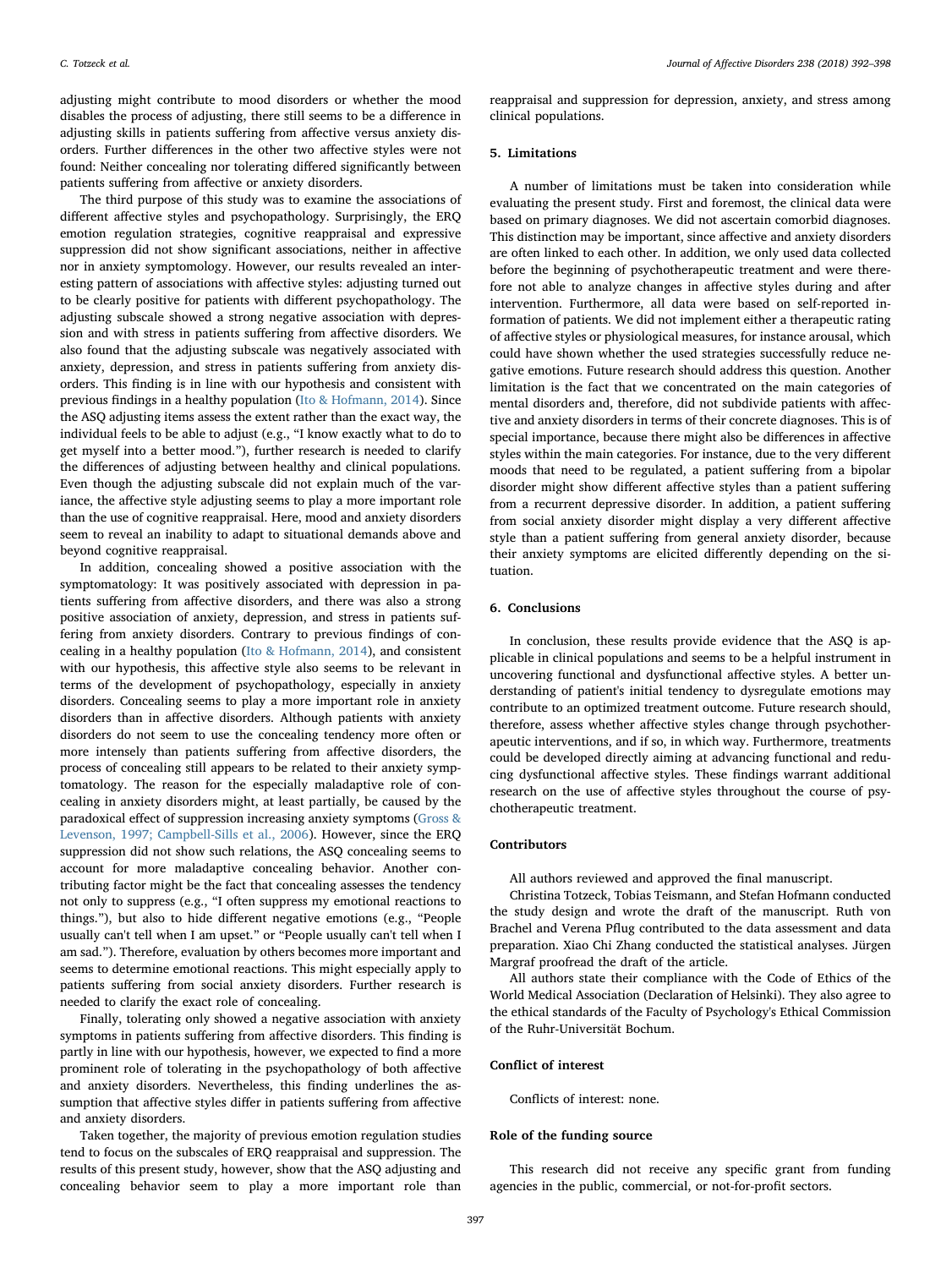adjusting might contribute to mood disorders or whether the mood disables the process of adjusting, there still seems to be a difference in adjusting skills in patients suffering from affective versus anxiety disorders. Further differences in the other two affective styles were not found: Neither concealing nor tolerating differed significantly between patients suffering from affective or anxiety disorders.

The third purpose of this study was to examine the associations of different affective styles and psychopathology. Surprisingly, the ERQ emotion regulation strategies, cognitive reappraisal and expressive suppression did not show significant associations, neither in affective nor in anxiety symptomology. However, our results revealed an interesting pattern of associations with affective styles: adjusting turned out to be clearly positive for patients with different psychopathology. The adjusting subscale showed a strong negative association with depression and with stress in patients suffering from affective disorders. We also found that the adjusting subscale was negatively associated with anxiety, depression, and stress in patients suffering from anxiety disorders. This finding is in line with our hypothesis and consistent with previous findings in a healthy population ([Ito & Hofmann, 2014\)](#page-7-9). Since the ASQ adjusting items assess the extent rather than the exact way, the individual feels to be able to adjust (e.g., "I know exactly what to do to get myself into a better mood."), further research is needed to clarify the differences of adjusting between healthy and clinical populations. Even though the adjusting subscale did not explain much of the variance, the affective style adjusting seems to play a more important role than the use of cognitive reappraisal. Here, mood and anxiety disorders seem to reveal an inability to adapt to situational demands above and beyond cognitive reappraisal.

In addition, concealing showed a positive association with the symptomatology: It was positively associated with depression in patients suffering from affective disorders, and there was also a strong positive association of anxiety, depression, and stress in patients suffering from anxiety disorders. Contrary to previous findings of concealing in a healthy population [\(Ito & Hofmann, 2014](#page-7-9)), and consistent with our hypothesis, this affective style also seems to be relevant in terms of the development of psychopathology, especially in anxiety disorders. Concealing seems to play a more important role in anxiety disorders than in affective disorders. Although patients with anxiety disorders do not seem to use the concealing tendency more often or more intensely than patients suffering from affective disorders, the process of concealing still appears to be related to their anxiety symptomatology. The reason for the especially maladaptive role of concealing in anxiety disorders might, at least partially, be caused by the paradoxical effect of suppression increasing anxiety symptoms ([Gross &](#page-7-21) [Levenson, 1997; Campbell-Sills et al., 2006](#page-7-21)). However, since the ERQ suppression did not show such relations, the ASQ concealing seems to account for more maladaptive concealing behavior. Another contributing factor might be the fact that concealing assesses the tendency not only to suppress (e.g., "I often suppress my emotional reactions to things."), but also to hide different negative emotions (e.g., "People usually can't tell when I am upset." or "People usually can't tell when I am sad."). Therefore, evaluation by others becomes more important and seems to determine emotional reactions. This might especially apply to patients suffering from social anxiety disorders. Further research is needed to clarify the exact role of concealing.

Finally, tolerating only showed a negative association with anxiety symptoms in patients suffering from affective disorders. This finding is partly in line with our hypothesis, however, we expected to find a more prominent role of tolerating in the psychopathology of both affective and anxiety disorders. Nevertheless, this finding underlines the assumption that affective styles differ in patients suffering from affective and anxiety disorders.

Taken together, the majority of previous emotion regulation studies tend to focus on the subscales of ERQ reappraisal and suppression. The results of this present study, however, show that the ASQ adjusting and concealing behavior seem to play a more important role than

reappraisal and suppression for depression, anxiety, and stress among clinical populations.

## 5. Limitations

A number of limitations must be taken into consideration while evaluating the present study. First and foremost, the clinical data were based on primary diagnoses. We did not ascertain comorbid diagnoses. This distinction may be important, since affective and anxiety disorders are often linked to each other. In addition, we only used data collected before the beginning of psychotherapeutic treatment and were therefore not able to analyze changes in affective styles during and after intervention. Furthermore, all data were based on self-reported information of patients. We did not implement either a therapeutic rating of affective styles or physiological measures, for instance arousal, which could have shown whether the used strategies successfully reduce negative emotions. Future research should address this question. Another limitation is the fact that we concentrated on the main categories of mental disorders and, therefore, did not subdivide patients with affective and anxiety disorders in terms of their concrete diagnoses. This is of special importance, because there might also be differences in affective styles within the main categories. For instance, due to the very different moods that need to be regulated, a patient suffering from a bipolar disorder might show different affective styles than a patient suffering from a recurrent depressive disorder. In addition, a patient suffering from social anxiety disorder might display a very different affective style than a patient suffering from general anxiety disorder, because their anxiety symptoms are elicited differently depending on the situation.

#### 6. Conclusions

In conclusion, these results provide evidence that the ASQ is applicable in clinical populations and seems to be a helpful instrument in uncovering functional and dysfunctional affective styles. A better understanding of patient's initial tendency to dysregulate emotions may contribute to an optimized treatment outcome. Future research should, therefore, assess whether affective styles change through psychotherapeutic interventions, and if so, in which way. Furthermore, treatments could be developed directly aiming at advancing functional and reducing dysfunctional affective styles. These findings warrant additional research on the use of affective styles throughout the course of psychotherapeutic treatment.

#### **Contributors**

All authors reviewed and approved the final manuscript.

Christina Totzeck, Tobias Teismann, and Stefan Hofmann conducted the study design and wrote the draft of the manuscript. Ruth von Brachel and Verena Pflug contributed to the data assessment and data preparation. Xiao Chi Zhang conducted the statistical analyses. Jürgen Margraf proofread the draft of the article.

All authors state their compliance with the Code of Ethics of the World Medical Association (Declaration of Helsinki). They also agree to the ethical standards of the Faculty of Psychology's Ethical Commission of the Ruhr-Universität Bochum.

#### Conflict of interest

Conflicts of interest: none.

#### Role of the funding source

This research did not receive any specific grant from funding agencies in the public, commercial, or not-for-profit sectors.